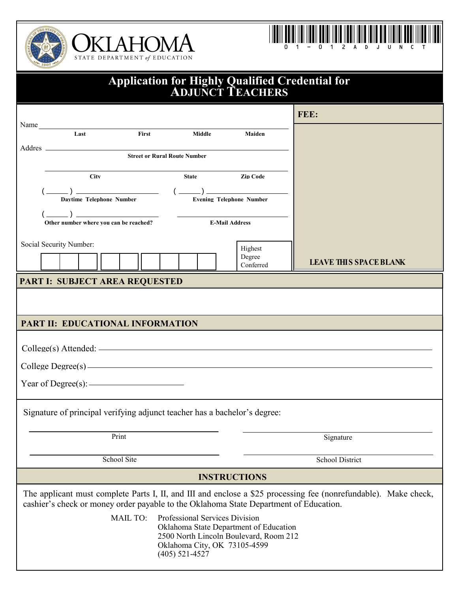





| <b>Application for Highly Qualified Credential for<br/>ADJUNCT TEACHERS</b>                                                                                                                              |                               |  |  |  |  |
|----------------------------------------------------------------------------------------------------------------------------------------------------------------------------------------------------------|-------------------------------|--|--|--|--|
|                                                                                                                                                                                                          | FEE:                          |  |  |  |  |
| Name Last First Middle<br>Maiden                                                                                                                                                                         |                               |  |  |  |  |
| Addres _<br><b>Street or Rural Route Number</b>                                                                                                                                                          |                               |  |  |  |  |
| State <b>Zip Code</b><br><b>City</b>                                                                                                                                                                     |                               |  |  |  |  |
|                                                                                                                                                                                                          |                               |  |  |  |  |
| $\left(\frac{1}{\text{Other number where you can be reached?}}\right)$ E-Mail Address                                                                                                                    |                               |  |  |  |  |
| Social Security Number:<br>Highest<br>Degree<br>Conferred                                                                                                                                                | <b>LEAVE THIS SPACE BLANK</b> |  |  |  |  |
| PART I: SUBJECT AREA REQUESTED                                                                                                                                                                           |                               |  |  |  |  |
|                                                                                                                                                                                                          |                               |  |  |  |  |
| PART II: EDUCATIONAL INFORMATION                                                                                                                                                                         |                               |  |  |  |  |
| $\text{Collect}(s)$ Attended: $\overline{\phantom{a}}$                                                                                                                                                   |                               |  |  |  |  |
| $\text{Collect Degree}(s)$ $\longrightarrow$                                                                                                                                                             |                               |  |  |  |  |
|                                                                                                                                                                                                          |                               |  |  |  |  |
| Signature of principal verifying adjunct teacher has a bachelor's degree:                                                                                                                                |                               |  |  |  |  |
| Print<br>Signature                                                                                                                                                                                       |                               |  |  |  |  |
| School Site<br>School District                                                                                                                                                                           |                               |  |  |  |  |
| <b>INSTRUCTIONS</b>                                                                                                                                                                                      |                               |  |  |  |  |
| The applicant must complete Parts I, II, and III and enclose a \$25 processing fee (nonrefundable). Make check,<br>cashier's check or money order payable to the Oklahoma State Department of Education. |                               |  |  |  |  |
| <b>MAIL TO:</b><br>Professional Services Division<br>Oklahoma State Department of Education<br>2500 North Lincoln Boulevard, Room 212<br>Oklahoma City, OK 73105-4599<br>$(405)$ 521-4527                |                               |  |  |  |  |